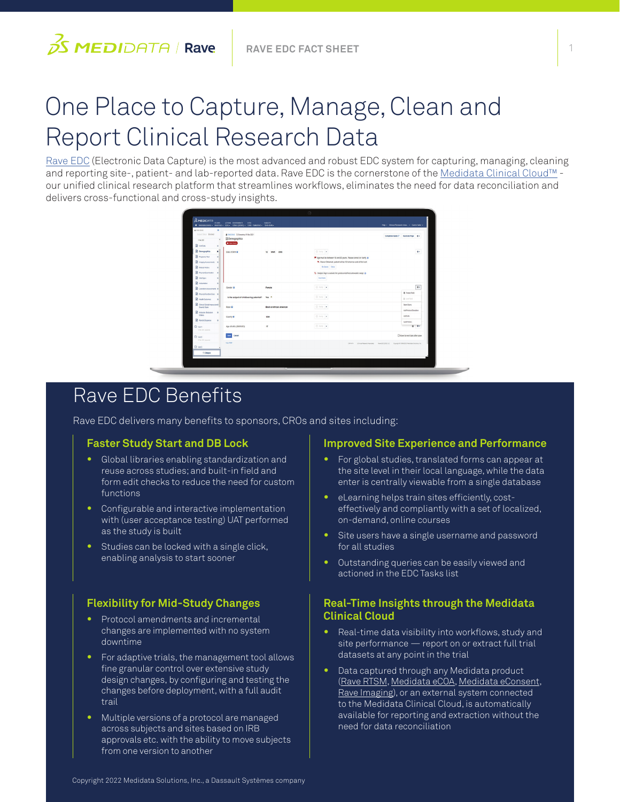# One Place to Capture, Manage, Clean and Report Clinical Research Data

[Rave EDC](https://www.medidata.com/en/clinical-trial-products/clinical-data-management/edc-systems) (Electronic Data Capture) is the most advanced and robust EDC system for capturing, managing, cleaning and reporting site-, patient- and lab-reported data. Rave EDC is the cornerstone of the [Medidata Clinical Cloud™](https://www.medidata.com/en/clinical-trial-products/unified-platform) our unified clinical research platform that streamlines workflows, eliminates the need for data reconciliation and delivers cross-functional and cross-study insights.

| A 1045-0045<br>٠                     |                                                 |                                  |                                                                    |                                           |
|--------------------------------------|-------------------------------------------------|----------------------------------|--------------------------------------------------------------------|-------------------------------------------|
| Scotting Engle                       | A 1543-0045 Ci Screening 11 Mar 2021            |                                  |                                                                    | Completion Guide (2) In activate Page 0 - |
| $\sim$<br>11 May 2221                | <b>R</b> Demographics                           |                                  |                                                                    |                                           |
| <b>B</b> vation<br>$\sim$            | <b>D</b> Goet Guary                             |                                  |                                                                    |                                           |
| <b>B</b> Demographics<br>٠           | Date of Birth O                                 | 12 MAR 2003                      | 0 mm =                                                             | $\bullet$                                 |
| <b>R</b> Pegnang Test<br>$\circ$     |                                                 |                                  | P Age must be between 18 and 65 years. Please correct or clarify O |                                           |
| В таруализмен о                      |                                                 |                                  | * Waiver Obtained, patient will be 18 tomorow and at first visit   |                                           |
| <b>B</b> Medcal Hotery<br>$\bullet$  |                                                 |                                  | Re-Query Cose                                                      |                                           |
| <b>B</b> Photo European<br>$\bullet$ |                                                 |                                  | Sa Subject Age is outside the protocol-defined allowable range. @  |                                           |
| R visitions<br>$\bullet$             |                                                 |                                  | bactune.                                                           |                                           |
| <b>R</b> Installation<br>a1          |                                                 |                                  |                                                                    |                                           |
| R Liberaton Assessments O            | Gender <sub>0</sub>                             | female                           | $O$ mm $\sim$                                                      | $\bullet$                                 |
| R PhotolfunderOlay o                 | Is the subject of childbearing potential?       | Yes *                            | $0$ mm $\rightarrow$                                               | \$ Freeze Field                           |
| <b>R</b> Heath Dutcomes<br>$\circ$   |                                                 |                                  |                                                                    | A LookField                               |
| В они симпенное<br>South State       | Race: O                                         | <b>Black or African American</b> | $0$ mm $\rightarrow$                                               | Open Query<br>Add Professi Deviation      |
| <b>B</b> house/Douse 0<br>Oteta      |                                                 |                                  |                                                                    |                                           |
| <b>B</b> Rand & Disperse<br>$\theta$ | Country O                                       | USA                              | $0$ mm $\rightarrow$                                               | Addition                                  |
|                                      |                                                 |                                  | $0$ limit $\rightarrow$                                            | Audit History                             |
| C was<br>10 for 201 located          | AN (IEARS) (DERWED)                             | 17                               |                                                                    | 80.0                                      |
| C) yest<br>20 for 2021 projected     | C Move to next task after save<br>Cancel<br>Gue |                                  |                                                                    |                                           |
|                                      | Vew POF                                         |                                  |                                                                    |                                           |
| Chann C                              |                                                 |                                  |                                                                    |                                           |
| < Collegee                           |                                                 |                                  |                                                                    |                                           |

# Rave EDC Benefits

Rave EDC delivers many benefits to sponsors, CROs and sites including:

#### **Faster Study Start and DB Lock**

- **•** Global libraries enabling standardization and reuse across studies; and built-in field and form edit checks to reduce the need for custom functions
- **•** Configurable and interactive implementation with (user acceptance testing) UAT performed as the study is built
- **•** Studies can be locked with a single click, enabling analysis to start sooner

#### **Flexibility for Mid-Study Changes**

- **•** Protocol amendments and incremental changes are implemented with no system downtime
- **•** For adaptive trials, the management tool allows fine granular control over extensive study design changes, by configuring and testing the changes before deployment, with a full audit trail
- **•** Multiple versions of a protocol are managed across subjects and sites based on IRB approvals etc. with the ability to move subjects from one version to another

#### **Improved Site Experience and Performance**

- **•** For global studies, translated forms can appear at the site level in their local language, while the data enter is centrally viewable from a single database
- **•** eLearning helps train sites efficiently, costeffectively and compliantly with a set of localized, on-demand, online courses
- **•** Site users have a single username and password for all studies
- **•** Outstanding queries can be easily viewed and actioned in the EDC Tasks list

#### **Real-Time Insights through the Medidata Clinical Cloud**

- **•** Real-time data visibility into workflows, study and site performance — report on or extract full trial datasets at any point in the trial
- **•** Data captured through any Medidata product ([Rave RTSM](https://www.medidata.com/en/clinical-trial-products/clinical-data-management/rtsm), [Medidata eCOA](https://www.medidata.com/en/clinical-trial-products/patient-centric-clinical-trials/ecoa), [Medidata eConsent,](https://www.medidata.com/en/clinical-trial-products/patient-centric-clinical-trials/econsent) [Rave Imaging](https://www.medidata.com/en/clinical-trial-products/clinical-data-management/clinical-trial-imaging)), or an external system connected to the Medidata Clinical Cloud, is automatically available for reporting and extraction without the need for data reconciliation